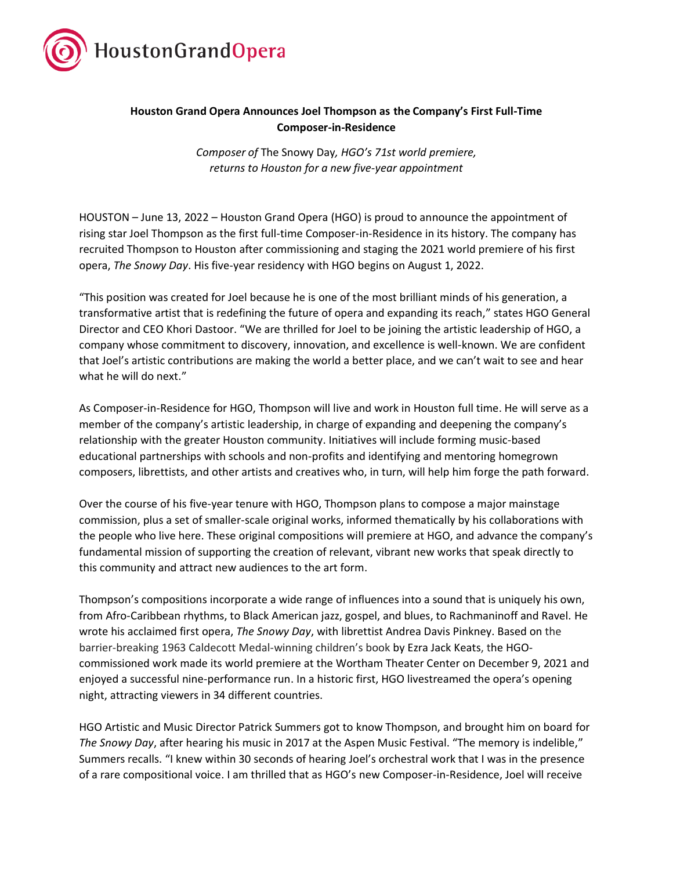

## **Houston Grand Opera Announces Joel Thompson as the Company's First Full-Time Composer-in-Residence**

*Composer of* The Snowy Day*, HGO's 71st world premiere, returns to Houston for a new five-year appointment* 

HOUSTON – June 13, 2022 – Houston Grand Opera (HGO) is proud to announce the appointment of rising star Joel Thompson as the first full-time Composer-in-Residence in its history. The company has recruited Thompson to Houston after commissioning and staging the 2021 world premiere of his first opera, *The Snowy Day*. His five-year residency with HGO begins on August 1, 2022.

"This position was created for Joel because he is one of the most brilliant minds of his generation, a transformative artist that is redefining the future of opera and expanding its reach," states HGO General Director and CEO Khori Dastoor. "We are thrilled for Joel to be joining the artistic leadership of HGO, a company whose commitment to discovery, innovation, and excellence is well-known. We are confident that Joel's artistic contributions are making the world a better place, and we can't wait to see and hear what he will do next."

As Composer-in-Residence for HGO, Thompson will live and work in Houston full time. He will serve as a member of the company's artistic leadership, in charge of expanding and deepening the company's relationship with the greater Houston community. Initiatives will include forming music-based educational partnerships with schools and non-profits and identifying and mentoring homegrown composers, librettists, and other artists and creatives who, in turn, will help him forge the path forward.

Over the course of his five-year tenure with HGO, Thompson plans to compose a major mainstage commission, plus a set of smaller-scale original works, informed thematically by his collaborations with the people who live here. These original compositions will premiere at HGO, and advance the company's fundamental mission of supporting the creation of relevant, vibrant new works that speak directly to this community and attract new audiences to the art form.

Thompson's compositions incorporate a wide range of influences into a sound that is uniquely his own, from Afro-Caribbean rhythms, to Black American jazz, gospel, and blues, to Rachmaninoff and Ravel. He wrote his acclaimed first opera, *The Snowy Day*, with librettist Andrea Davis Pinkney. Based on the barrier-breaking 1963 Caldecott Medal-winning children's book by Ezra Jack Keats, the HGOcommissioned work made its world premiere at the Wortham Theater Center on December 9, 2021 and enjoyed a successful nine-performance run. In a historic first, HGO livestreamed the opera's opening night, attracting viewers in 34 different countries.

HGO Artistic and Music Director Patrick Summers got to know Thompson, and brought him on board for *The Snowy Day*, after hearing his music in 2017 at the Aspen Music Festival. "The memory is indelible," Summers recalls. "I knew within 30 seconds of hearing Joel's orchestral work that I was in the presence of a rare compositional voice. I am thrilled that as HGO's new Composer-in-Residence, Joel will receive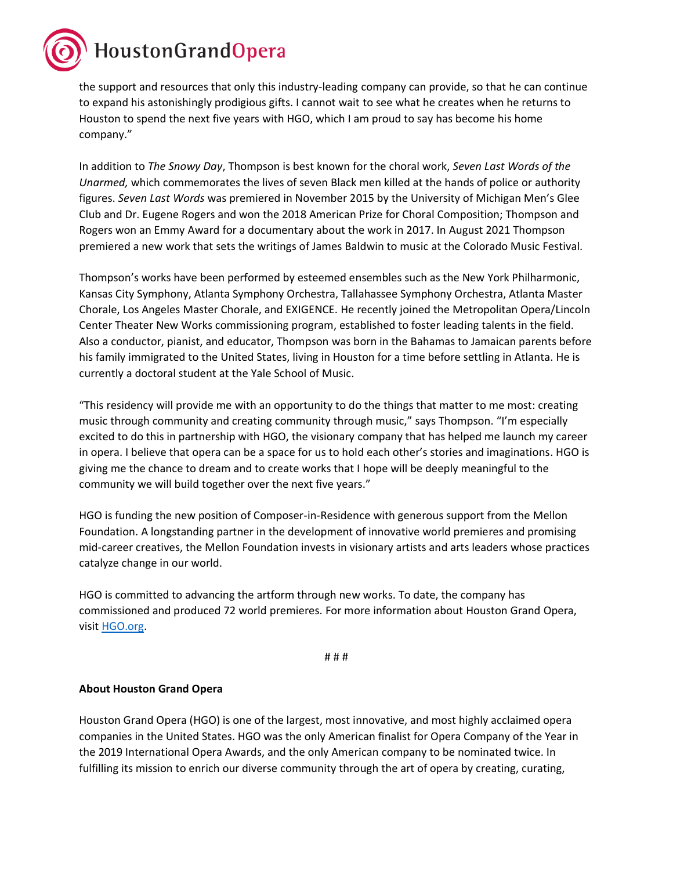HoustonGrandOpera

the support and resources that only this industry-leading company can provide, so that he can continue to expand his astonishingly prodigious gifts. I cannot wait to see what he creates when he returns to Houston to spend the next five years with HGO, which I am proud to say has become his home company."

In addition to *The Snowy Day*, Thompson is best known for the choral work, *Seven Last Words of the Unarmed,* which commemorates the lives of seven Black men killed at the hands of police or authority figures. *Seven Last Words* was premiered in November 2015 by the University of Michigan Men's Glee Club and Dr. Eugene Rogers and won the 2018 American Prize for Choral Composition; Thompson and Rogers won an Emmy Award for a documentary about the work in 2017. In August 2021 Thompson premiered a new work that sets the writings of James Baldwin to music at the Colorado Music Festival.

Thompson's works have been performed by esteemed ensembles such as the New York Philharmonic, Kansas City Symphony, Atlanta Symphony Orchestra, Tallahassee Symphony Orchestra, Atlanta Master Chorale, Los Angeles Master Chorale, and EXIGENCE. He recently joined the Metropolitan Opera/Lincoln Center Theater New Works commissioning program, established to foster leading talents in the field. Also a conductor, pianist, and educator, Thompson was born in the Bahamas to Jamaican parents before his family immigrated to the United States, living in Houston for a time before settling in Atlanta. He is currently a doctoral student at the Yale School of Music.

"This residency will provide me with an opportunity to do the things that matter to me most: creating music through community and creating community through music," says Thompson. "I'm especially excited to do this in partnership with HGO, the visionary company that has helped me launch my career in opera. I believe that opera can be a space for us to hold each other's stories and imaginations. HGO is giving me the chance to dream and to create works that I hope will be deeply meaningful to the community we will build together over the next five years."

HGO is funding the new position of Composer-in-Residence with generous support from the Mellon Foundation. A longstanding partner in the development of innovative world premieres and promising mid-career creatives, the Mellon Foundation invests in visionary artists and arts leaders whose practices catalyze change in our world.

HGO is committed to advancing the artform through new works. To date, the company has commissioned and produced 72 world premieres. For more information about Houston Grand Opera, visit [HGO.org.](http://www.hgo.org/)

# # #

## **About Houston Grand Opera**

Houston Grand Opera (HGO) is one of the largest, most innovative, and most highly acclaimed opera companies in the United States. HGO was the only American finalist for Opera Company of the Year in the 2019 International Opera Awards, and the only American company to be nominated twice. In fulfilling its mission to enrich our diverse community through the art of opera by creating, curating,